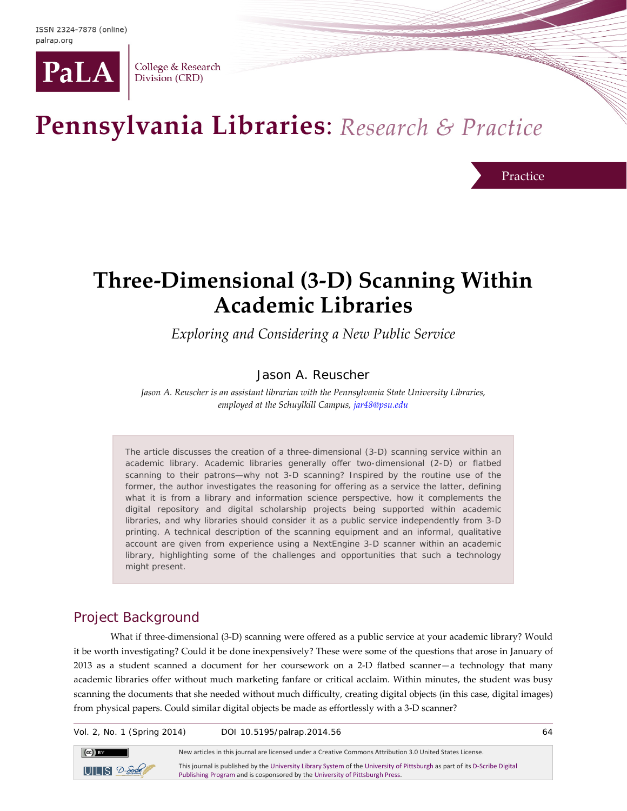

College & Research Division (CRD)

# Pennsylvania Libraries: Research & Practice

Practice

## **Three-Dimensional (3-D) Scanning Within Academic Libraries**

*Exploring and Considering a New Public Service*

#### Jason A. Reuscher

*Jason A. Reuscher is an assistant librarian with the Pennsylvania State University Libraries, employed at the Schuylkill Campus[, jar48@psu.edu](mailto:jar48@psu.edu)*

The article discusses the creation of a three-dimensional (3-D) scanning service within an academic library. Academic libraries generally offer two-dimensional (2-D) or flatbed scanning to their patrons—why not 3-D scanning? Inspired by the routine use of the former, the author investigates the reasoning for offering as a service the latter, defining what it is from a library and information science perspective, how it complements the digital repository and digital scholarship projects being supported within academic libraries, and why libraries should consider it as a public service independently from 3-D printing. A technical description of the scanning equipment and an informal, qualitative account are given from experience using a NextEngine 3-D scanner within an academic library, highlighting some of the challenges and opportunities that such a technology might present.

### Project Background

What if three-dimensional (3-D) scanning were offered as a public service at your academic library? Would it be worth investigating? Could it be done inexpensively? These were some of the questions that arose in January of 2013 as a student scanned a document for her coursework on a 2-D flatbed scanner—a technology that many academic libraries offer without much marketing fanfare or critical acclaim. Within minutes, the student was busy scanning the documents that she needed without much difficulty, creating digital objects (in this case, digital images) from physical papers. Could similar digital objects be made as effortlessly with a 3-D scanner?

Vol. 2, No. 1 (Spring 2014) DOI 10.5195/palrap.2014.56 64  $(cc)$  BY New articles in this journal are licensed under a Creative Commons Attribution 3.0 United States License. This journal is published by th[e University Library System](http://www.library.pitt.edu/) of th[e University of Pittsburgh](http://www.pitt.edu/) as part of it[s D-Scribe Digital](http://www.library.pitt.edu/dscribe/)   $UILIS 2-8$ 

[Publishing Program](http://www.library.pitt.edu/dscribe/) and is cosponsored by th[e University of Pittsburgh Press.](http://www.upress.pitt.edu/)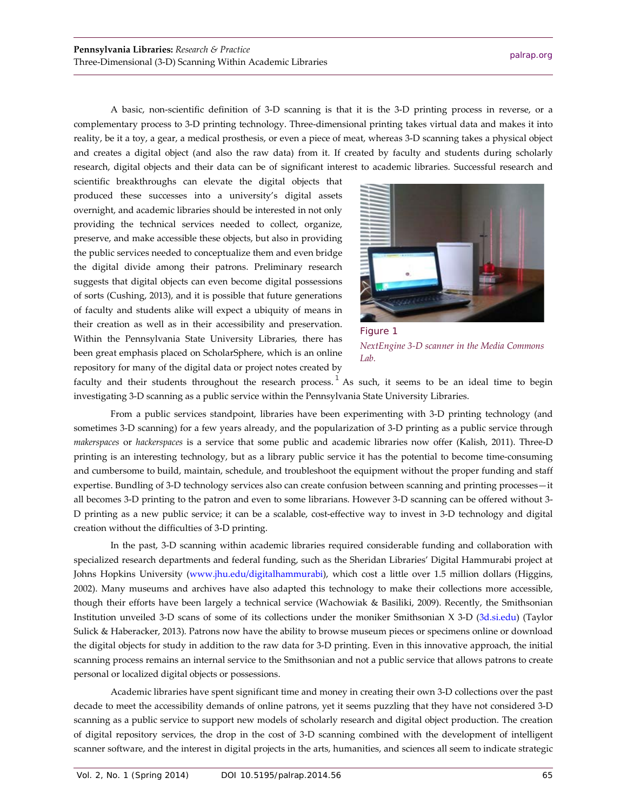A basic, non-scientific definition of 3-D scanning is that it is the 3-D printing process in reverse, or a complementary process to 3-D printing technology. Three-dimensional printing takes virtual data and makes it into reality, be it a toy, a gear, a medical prosthesis, or even a piece of meat, whereas 3-D scanning takes a physical object and creates a digital object (and also the raw data) from it. If created by faculty and students during scholarly research, digital objects and their data can be of significant interest to academic libraries. Successful research and

scientific breakthroughs can elevate the digital objects that produced these successes into a university's digital assets overnight, and academic libraries should be interested in not only providing the technical services needed to collect, organize, preserve, and make accessible these objects, but also in providing the public services needed to conceptualize them and even bridge the digital divide among their patrons. Preliminary research suggests that digital objects can even become digital possessions of sorts (Cushing, 2013), and it is possible that future generations of faculty and students alike will expect a ubiquity of means in their creation as well as in their accessibility and preservation. Within the Pennsylvania State University Libraries, there has been great emphasis placed on ScholarSphere, which is an online repository for many of the digital data or project notes created by



Figure 1 *NextEngine 3-D scanner in the Media Commons Lab.*

faculty and their students throughout the research process.<sup>[1](#page-5-0)</sup> As such, it seems to be an ideal time to begin investigating 3-D scanning as a public service within the Pennsylvania State University Libraries.

From a public services standpoint, libraries have been experimenting with 3-D printing technology (and sometimes 3-D scanning) for a few years already, and the popularization of 3-D printing as a public service through *makerspaces* or *hackerspaces* is a service that some public and academic libraries now offer (Kalish, 2011). Three-D printing is an interesting technology, but as a library public service it has the potential to become time-consuming and cumbersome to build, maintain, schedule, and troubleshoot the equipment without the proper funding and staff expertise. Bundling of 3-D technology services also can create confusion between scanning and printing processes—it all becomes 3-D printing to the patron and even to some librarians. However 3-D scanning can be offered without 3- D printing as a new public service; it can be a scalable, cost-effective way to invest in 3-D technology and digital creation without the difficulties of 3-D printing.

In the past, 3-D scanning within academic libraries required considerable funding and collaboration with specialized research departments and federal funding, such as the Sheridan Libraries' Digital Hammurabi project at Johns Hopkins University [\(www.jhu.edu/digitalhammurabi\)](http://www.jhu.edu/digitalhammurabi/), which cost a little over 1.5 million dollars (Higgins, 2002). Many museums and archives have also adapted this technology to make their collections more accessible, though their efforts have been largely a technical service (Wachowiak & Basiliki, 2009). Recently, the Smithsonian Institution unveiled 3-D scans of some of its collections under the moniker Smithsonian X 3-D [\(3d.si.edu\)](http://3d.si.edu/) (Taylor Sulick & Haberacker, 2013). Patrons now have the ability to browse museum pieces or specimens online or download the digital objects for study in addition to the raw data for 3-D printing. Even in this innovative approach, the initial scanning process remains an internal service to the Smithsonian and not a public service that allows patrons to create personal or localized digital objects or possessions.

Academic libraries have spent significant time and money in creating their own 3-D collections over the past decade to meet the accessibility demands of online patrons, yet it seems puzzling that they have not considered 3-D scanning as a public service to support new models of scholarly research and digital object production. The creation of digital repository services, the drop in the cost of 3-D scanning combined with the development of intelligent scanner software, and the interest in digital projects in the arts, humanities, and sciences all seem to indicate strategic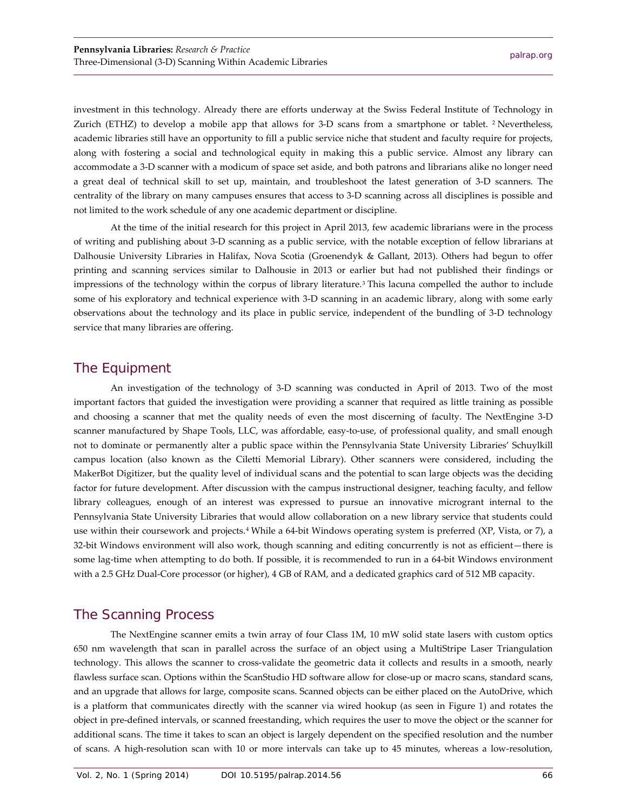investment in this technology. Already there are efforts underway at the Swiss Federal Institute of Technology in Zurich (ETHZ) to develop a mobile app that allows for 3-D scans from a smartphone or tablet. [2](#page-5-1) Nevertheless, academic libraries still have an opportunity to fill a public service niche that student and faculty require for projects, along with fostering a social and technological equity in making this a public service. Almost any library can accommodate a 3-D scanner with a modicum of space set aside, and both patrons and librarians alike no longer need a great deal of technical skill to set up, maintain, and troubleshoot the latest generation of 3-D scanners. The centrality of the library on many campuses ensures that access to 3-D scanning across all disciplines is possible and not limited to the work schedule of any one academic department or discipline.

At the time of the initial research for this project in April 2013, few academic librarians were in the process of writing and publishing about 3-D scanning as a public service, with the notable exception of fellow librarians at Dalhousie University Libraries in Halifax, Nova Scotia (Groenendyk & Gallant, 2013). Others had begun to offer printing and scanning services similar to Dalhousie in 2013 or earlier but had not published their findings or impressions of the technology within the corpus of library literature.[3](#page-5-2) This lacuna compelled the author to include some of his exploratory and technical experience with 3-D scanning in an academic library, along with some early observations about the technology and its place in public service, independent of the bundling of 3-D technology service that many libraries are offering.

#### The Equipment

An investigation of the technology of 3-D scanning was conducted in April of 2013. Two of the most important factors that guided the investigation were providing a scanner that required as little training as possible and choosing a scanner that met the quality needs of even the most discerning of faculty. The NextEngine 3-D scanner manufactured by Shape Tools, LLC, was affordable, easy-to-use, of professional quality, and small enough not to dominate or permanently alter a public space within the Pennsylvania State University Libraries' Schuylkill campus location (also known as the Ciletti Memorial Library). Other scanners were considered, including the MakerBot Digitizer, but the quality level of individual scans and the potential to scan large objects was the deciding factor for future development. After discussion with the campus instructional designer, teaching faculty, and fellow library colleagues, enough of an interest was expressed to pursue an innovative microgrant internal to the Pennsylvania State University Libraries that would allow collaboration on a new library service that students could use within their coursework and projects.<sup>[4](#page-5-3)</sup> While a 64-bit Windows operating system is preferred (XP, Vista, or 7), a 32-bit Windows environment will also work, though scanning and editing concurrently is not as efficient—there is some lag-time when attempting to do both. If possible, it is recommended to run in a 64-bit Windows environment with a 2.5 GHz Dual-Core processor (or higher), 4 GB of RAM, and a dedicated graphics card of 512 MB capacity.

#### The Scanning Process

The NextEngine scanner emits a twin array of four Class 1M, 10 mW solid state lasers with custom optics 650 nm wavelength that scan in parallel across the surface of an object using a MultiStripe Laser Triangulation technology. This allows the scanner to cross-validate the geometric data it collects and results in a smooth, nearly flawless surface scan. Options within the ScanStudio HD software allow for close-up or macro scans, standard scans, and an upgrade that allows for large, composite scans. Scanned objects can be either placed on the AutoDrive, which is a platform that communicates directly with the scanner via wired hookup (as seen in Figure 1) and rotates the object in pre-defined intervals, or scanned freestanding, which requires the user to move the object or the scanner for additional scans. The time it takes to scan an object is largely dependent on the specified resolution and the number of scans. A high-resolution scan with 10 or more intervals can take up to 45 minutes, whereas a low-resolution,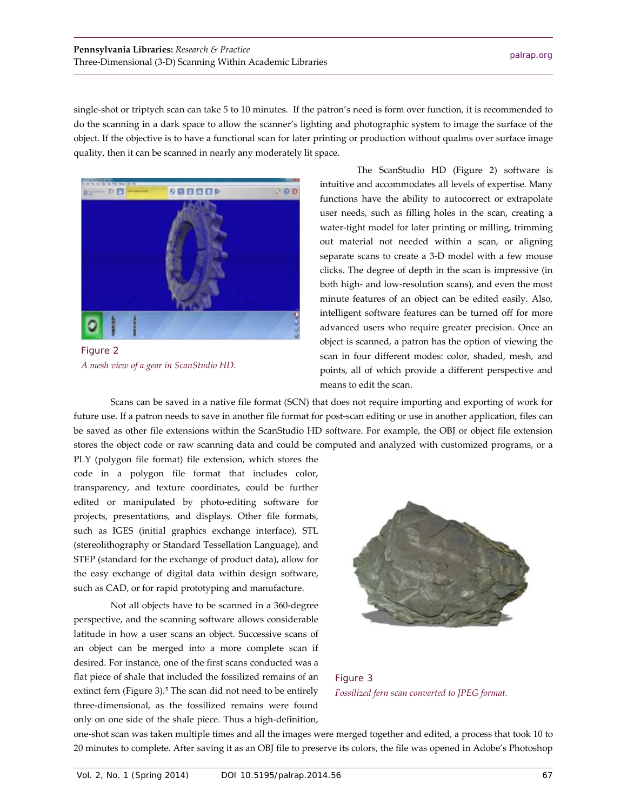single-shot or triptych scan can take 5 to 10 minutes. If the patron's need is form over function, it is recommended to do the scanning in a dark space to allow the scanner's lighting and photographic system to image the surface of the object. If the objective is to have a functional scan for later printing or production without qualms over surface image quality, then it can be scanned in nearly any moderately lit space.



Figure 2 *A mesh view of a gear in ScanStudio HD.*

The ScanStudio HD (Figure 2) software is intuitive and accommodates all levels of expertise. Many functions have the ability to autocorrect or extrapolate user needs, such as filling holes in the scan, creating a water-tight model for later printing or milling, trimming out material not needed within a scan, or aligning separate scans to create a 3-D model with a few mouse clicks. The degree of depth in the scan is impressive (in both high- and low-resolution scans), and even the most minute features of an object can be edited easily. Also, intelligent software features can be turned off for more advanced users who require greater precision. Once an object is scanned, a patron has the option of viewing the scan in four different modes: color, shaded, mesh, and points, all of which provide a different perspective and means to edit the scan.

Scans can be saved in a native file format (SCN) that does not require importing and exporting of work for future use. If a patron needs to save in another file format for post-scan editing or use in another application, files can be saved as other file extensions within the ScanStudio HD software. For example, the OBJ or object file extension stores the object code or raw scanning data and could be computed and analyzed with customized programs, or a

PLY (polygon file format) file extension, which stores the code in a polygon file format that includes color, transparency, and texture coordinates, could be further edited or manipulated by photo-editing software for projects, presentations, and displays. Other file formats, such as IGES (initial graphics exchange interface), STL (stereolithography or Standard Tessellation Language), and STEP (standard for the exchange of product data), allow for the easy exchange of digital data within design software, such as CAD, or for rapid prototyping and manufacture.

Not all objects have to be scanned in a 360-degree perspective, and the scanning software allows considerable latitude in how a user scans an object. Successive scans of an object can be merged into a more complete scan if desired. For instance, one of the first scans conducted was a flat piece of shale that included the fossilized remains of an extinct fern (Figure 3).<sup>[5](#page-5-4)</sup> The scan did not need to be entirely three-dimensional, as the fossilized remains were found only on one side of the shale piece. Thus a high-definition,



Figure 3 *Fossilized fern scan converted to JPEG format.*

one-shot scan was taken multiple times and all the images were merged together and edited, a process that took 10 to 20 minutes to complete. After saving it as an OBJ file to preserve its colors, the file was opened in Adobe's Photoshop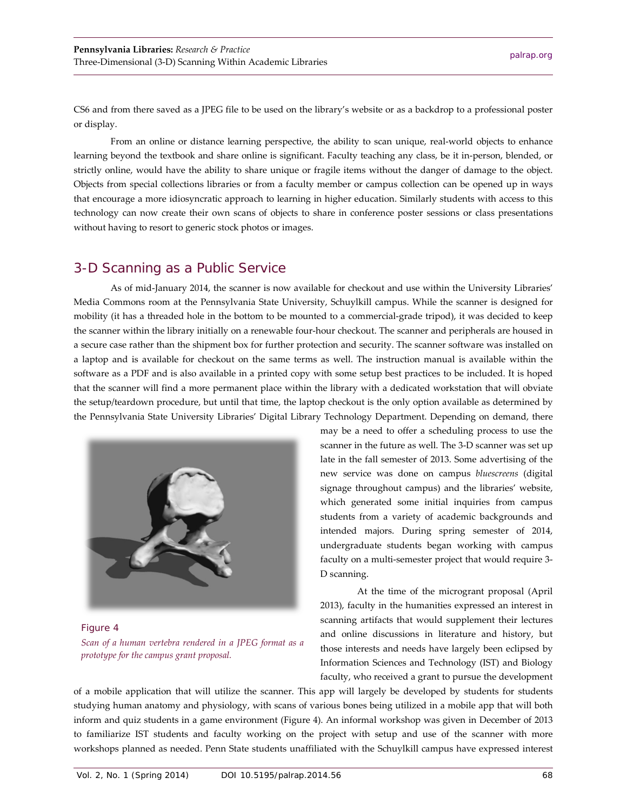CS6 and from there saved as a JPEG file to be used on the library's website or as a backdrop to a professional poster or display.

From an online or distance learning perspective, the ability to scan unique, real-world objects to enhance learning beyond the textbook and share online is significant. Faculty teaching any class, be it in-person, blended, or strictly online, would have the ability to share unique or fragile items without the danger of damage to the object. Objects from special collections libraries or from a faculty member or campus collection can be opened up in ways that encourage a more idiosyncratic approach to learning in higher education. Similarly students with access to this technology can now create their own scans of objects to share in conference poster sessions or class presentations without having to resort to generic stock photos or images.

#### 3-D Scanning as a Public Service

As of mid-January 2014, the scanner is now available for checkout and use within the University Libraries' Media Commons room at the Pennsylvania State University, Schuylkill campus. While the scanner is designed for mobility (it has a threaded hole in the bottom to be mounted to a commercial-grade tripod), it was decided to keep the scanner within the library initially on a renewable four-hour checkout. The scanner and peripherals are housed in a secure case rather than the shipment box for further protection and security. The scanner software was installed on a laptop and is available for checkout on the same terms as well. The instruction manual is available within the software as a PDF and is also available in a printed copy with some setup best practices to be included. It is hoped that the scanner will find a more permanent place within the library with a dedicated workstation that will obviate the setup/teardown procedure, but until that time, the laptop checkout is the only option available as determined by the Pennsylvania State University Libraries' Digital Library Technology Department. Depending on demand, there



Figure 4 *Scan of a human vertebra rendered in a JPEG format as a prototype for the campus grant proposal.*

may be a need to offer a scheduling process to use the scanner in the future as well. The 3-D scanner was set up late in the fall semester of 2013. Some advertising of the new service was done on campus *bluescreens* (digital signage throughout campus) and the libraries' website, which generated some initial inquiries from campus students from a variety of academic backgrounds and intended majors. During spring semester of 2014, undergraduate students began working with campus faculty on a multi-semester project that would require 3- D scanning.

At the time of the microgrant proposal (April 2013), faculty in the humanities expressed an interest in scanning artifacts that would supplement their lectures and online discussions in literature and history, but those interests and needs have largely been eclipsed by Information Sciences and Technology (IST) and Biology faculty, who received a grant to pursue the development

of a mobile application that will utilize the scanner. This app will largely be developed by students for students studying human anatomy and physiology, with scans of various bones being utilized in a mobile app that will both inform and quiz students in a game environment (Figure 4). An informal workshop was given in December of 2013 to familiarize IST students and faculty working on the project with setup and use of the scanner with more workshops planned as needed. Penn State students unaffiliated with the Schuylkill campus have expressed interest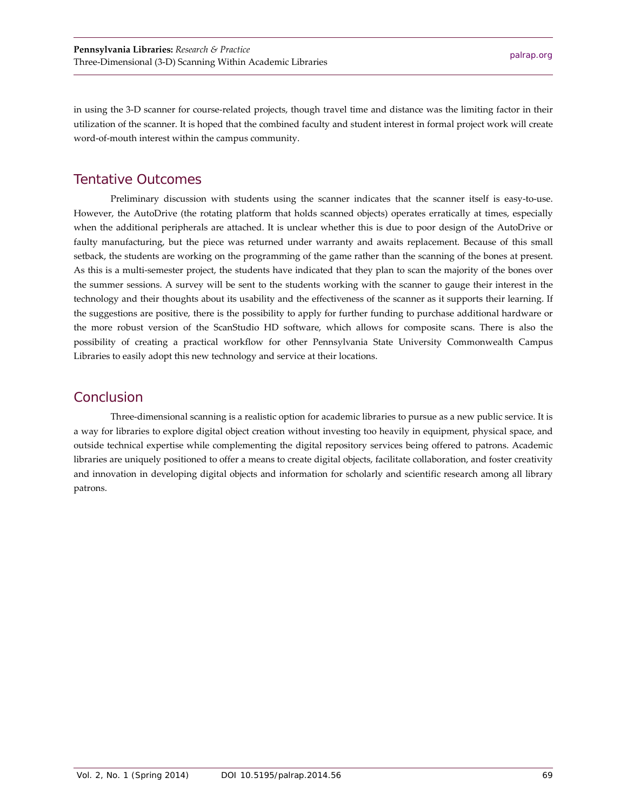in using the 3-D scanner for course-related projects, though travel time and distance was the limiting factor in their utilization of the scanner. It is hoped that the combined faculty and student interest in formal project work will create word-of-mouth interest within the campus community.

#### <span id="page-5-0"></span>Tentative Outcomes

<span id="page-5-4"></span><span id="page-5-3"></span><span id="page-5-2"></span><span id="page-5-1"></span>Preliminary discussion with students using the scanner indicates that the scanner itself is easy-to-use. However, the AutoDrive (the rotating platform that holds scanned objects) operates erratically at times, especially when the additional peripherals are attached. It is unclear whether this is due to poor design of the AutoDrive or faulty manufacturing, but the piece was returned under warranty and awaits replacement. Because of this small setback, the students are working on the programming of the game rather than the scanning of the bones at present. As this is a multi-semester project, the students have indicated that they plan to scan the majority of the bones over the summer sessions. A survey will be sent to the students working with the scanner to gauge their interest in the technology and their thoughts about its usability and the effectiveness of the scanner as it supports their learning. If the suggestions are positive, there is the possibility to apply for further funding to purchase additional hardware or the more robust version of the ScanStudio HD software, which allows for composite scans. There is also the possibility of creating a practical workflow for other Pennsylvania State University Commonwealth Campus Libraries to easily adopt this new technology and service at their locations.

#### **Conclusion**

Three-dimensional scanning is a realistic option for academic libraries to pursue as a new public service. It is a way for libraries to explore digital object creation without investing too heavily in equipment, physical space, and outside technical expertise while complementing the digital repository services being offered to patrons. Academic libraries are uniquely positioned to offer a means to create digital objects, facilitate collaboration, and foster creativity and innovation in developing digital objects and information for scholarly and scientific research among all library patrons.